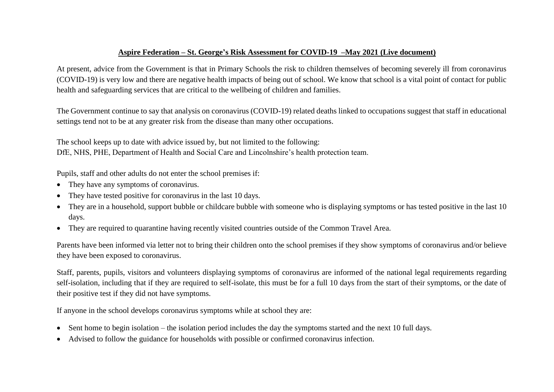## **Aspire Federation – St. George's Risk Assessment for COVID-19 –May 2021 (Live document)**

At present, advice from the Government is that in Primary Schools the risk to children themselves of becoming severely ill from coronavirus (COVID-19) is very low and there are negative health impacts of being out of school. We know that school is a vital point of contact for public health and safeguarding services that are critical to the wellbeing of children and families.

The Government continue to say that analysis on coronavirus (COVID-19) related deaths linked to occupations suggest that staff in educational settings tend not to be at any greater risk from the disease than many other occupations.

The school keeps up to date with advice issued by, but not limited to the following: DfE, NHS, PHE, Department of Health and Social Care and Lincolnshire's health protection team.

Pupils, staff and other adults do not enter the school premises if:

- They have any symptoms of coronavirus.
- They have tested positive for coronavirus in the last 10 days.
- They are in a household, support bubble or childcare bubble with someone who is displaying symptoms or has tested positive in the last 10 days.
- They are required to quarantine having recently visited countries outside of the Common Travel Area.

Parents have been informed via letter not to bring their children onto the school premises if they show symptoms of coronavirus and/or believe they have been exposed to coronavirus.

Staff, parents, pupils, visitors and volunteers displaying symptoms of coronavirus are informed of the national legal requirements regarding self-isolation, including that if they are required to self-isolate, this must be for a full 10 days from the start of their symptoms, or the date of their positive test if they did not have symptoms.

If anyone in the school develops coronavirus symptoms while at school they are:

- Sent home to begin isolation the isolation period includes the day the symptoms started and the next 10 full days.
- Advised to follow the guidance for households with possible or confirmed coronavirus infection.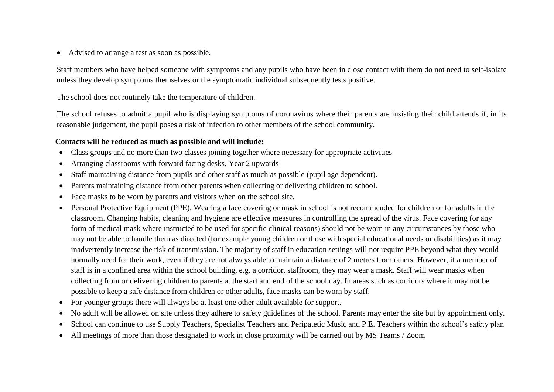Advised to arrange a test as soon as possible.

Staff members who have helped someone with symptoms and any pupils who have been in close contact with them do not need to self-isolate unless they develop symptoms themselves or the symptomatic individual subsequently tests positive.

The school does not routinely take the temperature of children.

The school refuses to admit a pupil who is displaying symptoms of coronavirus where their parents are insisting their child attends if, in its reasonable judgement, the pupil poses a risk of infection to other members of the school community.

## **Contacts will be reduced as much as possible and will include:**

- Class groups and no more than two classes joining together where necessary for appropriate activities
- Arranging classrooms with forward facing desks, Year 2 upwards
- Staff maintaining distance from pupils and other staff as much as possible (pupil age dependent).
- Parents maintaining distance from other parents when collecting or delivering children to school.
- Face masks to be worn by parents and visitors when on the school site.
- Personal Protective Equipment (PPE). Wearing a face covering or mask in school is not recommended for children or for adults in the classroom. Changing habits, cleaning and hygiene are effective measures in controlling the spread of the virus. Face covering (or any form of medical mask where instructed to be used for specific clinical reasons) should not be worn in any circumstances by those who may not be able to handle them as directed (for example young children or those with special educational needs or disabilities) as it may inadvertently increase the risk of transmission. The majority of staff in education settings will not require PPE beyond what they would normally need for their work, even if they are not always able to maintain a distance of 2 metres from others. However, if a member of staff is in a confined area within the school building, e.g. a corridor, staffroom, they may wear a mask. Staff will wear masks when collecting from or delivering children to parents at the start and end of the school day. In areas such as corridors where it may not be possible to keep a safe distance from children or other adults, face masks can be worn by staff.
- For younger groups there will always be at least one other adult available for support.
- No adult will be allowed on site unless they adhere to safety guidelines of the school. Parents may enter the site but by appointment only.
- School can continue to use Supply Teachers, Specialist Teachers and Peripatetic Music and P.E. Teachers within the school's safety plan
- All meetings of more than those designated to work in close proximity will be carried out by MS Teams / Zoom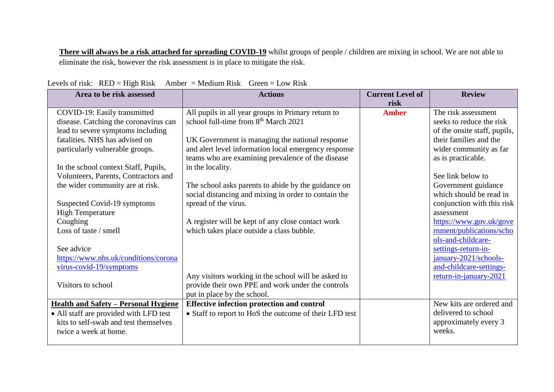**There will always be a risk attached for spreading COVID-19** whilst groups of people / children are mixing in school. We are not able to eliminate the risk, however the risk assessment is in place to mitigate the risk.

| Area to be risk assessed                    | <b>Actions</b>                                         | <b>Current Level of</b><br>risk | <b>Review</b>                                     |
|---------------------------------------------|--------------------------------------------------------|---------------------------------|---------------------------------------------------|
| COVID-19: Easily transmitted                | All pupils in all year groups in Primary return to     | <b>Amber</b>                    | The risk assessment                               |
| disease. Catching the coronavirus can       | school full-time from 8 <sup>th</sup> March 2021       |                                 | seeks to reduce the risk                          |
| lead to severe symptoms including           |                                                        |                                 | of the onsite staff, pupils,                      |
| fatalities. NHS has advised on              | UK Government is managing the national response        |                                 | their families and the                            |
| particularly vulnerable groups.             | and alert level information local emergency response   |                                 | wider community as far                            |
|                                             | teams who are examining prevalence of the disease      |                                 | as is practicable.                                |
| In the school context Staff, Pupils,        | in the locality.                                       |                                 |                                                   |
| Volunteers, Parents, Contractors and        |                                                        |                                 | See link below to                                 |
| the wider community are at risk.            | The school asks parents to abide by the guidance on    |                                 | Government guidance                               |
|                                             | social distancing and mixing in order to contain the   |                                 | which should be read in                           |
| Suspected Covid-19 symptoms                 | spread of the virus.                                   |                                 | conjunction with this risk                        |
| <b>High Temperature</b>                     |                                                        |                                 | assessment                                        |
| Coughing                                    | A register will be kept of any close contact work      |                                 | https://www.gov.uk/gove                           |
| Loss of taste / smell                       | which takes place outside a class bubble.              |                                 | rnment/publications/scho                          |
|                                             |                                                        |                                 | ols-and-childcare-                                |
| See advice                                  |                                                        |                                 | settings-return-in-                               |
| https://www.nhs.uk/conditions/corona        |                                                        |                                 | january-2021/schools-                             |
| virus-covid-19/symptoms                     | Any visitors working in the school will be asked to    |                                 | and-childcare-settings-<br>return-in-january-2021 |
| Visitors to school                          | provide their own PPE and work under the controls      |                                 |                                                   |
|                                             | put in place by the school.                            |                                 |                                                   |
| <b>Health and Safety – Personal Hygiene</b> | <b>Effective infection protection and control</b>      |                                 | New kits are ordered and                          |
| • All staff are provided with LFD test      | • Staff to report to HoS the outcome of their LFD test |                                 | delivered to school                               |
| kits to self-swab and test themselves       |                                                        |                                 | approximately every 3                             |
| twice a week at home.                       |                                                        |                                 | weeks.                                            |
|                                             |                                                        |                                 |                                                   |

Levels of risk:  $RED = High Risk$  Amber = Medium Risk Green = Low Risk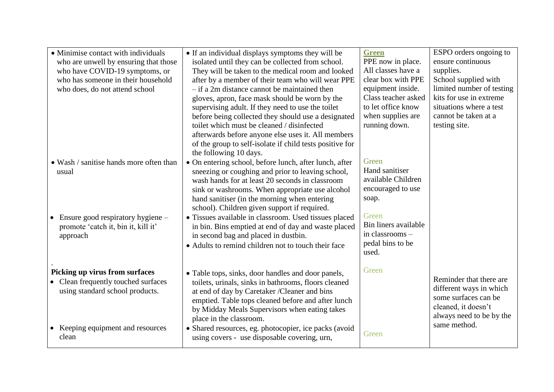| • Minimise contact with individuals<br>who are unwell by ensuring that those<br>who have COVID-19 symptoms, or<br>who has someone in their household<br>who does, do not attend school | • If an individual displays symptoms they will be<br>isolated until they can be collected from school.<br>They will be taken to the medical room and looked<br>after by a member of their team who will wear PPE<br>$-$ if a 2m distance cannot be maintained then<br>gloves, apron, face mask should be worn by the<br>supervising adult. If they need to use the toilet<br>before being collected they should use a designated<br>toilet which must be cleaned / disinfected<br>afterwards before anyone else uses it. All members                                                                                   | <b>Green</b><br>PPE now in place.<br>All classes have a<br>clear box with PPE<br>equipment inside.<br>Class teacher asked<br>to let office know<br>when supplies are<br>running down. | ESPO orders ongoing to<br>ensure continuous<br>supplies.<br>School supplied with<br>limited number of testing<br>kits for use in extreme<br>situations where a test<br>cannot be taken at a<br>testing site. |
|----------------------------------------------------------------------------------------------------------------------------------------------------------------------------------------|------------------------------------------------------------------------------------------------------------------------------------------------------------------------------------------------------------------------------------------------------------------------------------------------------------------------------------------------------------------------------------------------------------------------------------------------------------------------------------------------------------------------------------------------------------------------------------------------------------------------|---------------------------------------------------------------------------------------------------------------------------------------------------------------------------------------|--------------------------------------------------------------------------------------------------------------------------------------------------------------------------------------------------------------|
| • Wash / sanitise hands more often than<br>usual<br>Ensure good respiratory hygiene -<br>$\bullet$<br>promote 'catch it, bin it, kill it'<br>approach                                  | of the group to self-isolate if child tests positive for<br>the following 10 days.<br>• On entering school, before lunch, after lunch, after<br>sneezing or coughing and prior to leaving school,<br>wash hands for at least 20 seconds in classroom<br>sink or washrooms. When appropriate use alcohol<br>hand sanitiser (in the morning when entering<br>school). Children given support if required.<br>• Tissues available in classroom. Used tissues placed<br>in bin. Bins emptied at end of day and waste placed<br>in second bag and placed in dustbin.<br>• Adults to remind children not to touch their face | Green<br>Hand sanitiser<br>available Children<br>encouraged to use<br>soap.<br>Green<br>Bin liners available<br>in classrooms -<br>pedal bins to be<br>used.                          |                                                                                                                                                                                                              |
| Picking up virus from surfaces<br>Clean frequently touched surfaces<br>using standard school products.<br>Keeping equipment and resources<br>$\bullet$<br>clean                        | • Table tops, sinks, door handles and door panels,<br>toilets, urinals, sinks in bathrooms, floors cleaned<br>at end of day by Caretaker /Cleaner and bins<br>emptied. Table tops cleaned before and after lunch<br>by Midday Meals Supervisors when eating takes<br>place in the classroom.<br>• Shared resources, eg. photocopier, ice packs (avoid<br>using covers - use disposable covering, urn,                                                                                                                                                                                                                  | Green<br>Green                                                                                                                                                                        | Reminder that there are<br>different ways in which<br>some surfaces can be<br>cleaned, it doesn't<br>always need to be by the<br>same method.                                                                |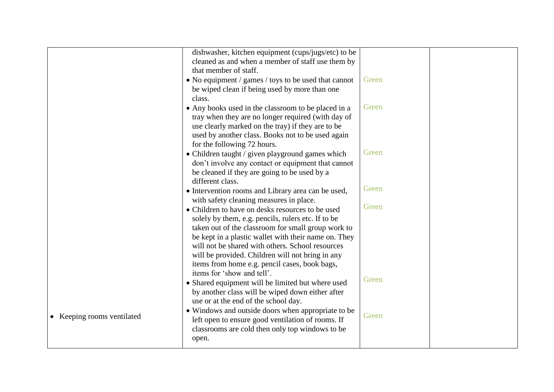|                            | dishwasher, kitchen equipment (cups/jugs/etc) to be  |       |  |
|----------------------------|------------------------------------------------------|-------|--|
|                            | cleaned as and when a member of staff use them by    |       |  |
|                            | that member of staff.                                |       |  |
|                            | • No equipment / games / toys to be used that cannot | Green |  |
|                            | be wiped clean if being used by more than one        |       |  |
|                            | class.                                               |       |  |
|                            | • Any books used in the classroom to be placed in a  | Green |  |
|                            | tray when they are no longer required (with day of   |       |  |
|                            | use clearly marked on the tray) if they are to be    |       |  |
|                            | used by another class. Books not to be used again    |       |  |
|                            | for the following 72 hours.                          |       |  |
|                            | • Children taught / given playground games which     | Green |  |
|                            | don't involve any contact or equipment that cannot   |       |  |
|                            | be cleaned if they are going to be used by a         |       |  |
|                            | different class.                                     |       |  |
|                            | • Intervention rooms and Library area can be used,   | Green |  |
|                            | with safety cleaning measures in place.              |       |  |
|                            | • Children to have on desks resources to be used     | Green |  |
|                            | solely by them, e.g. pencils, rulers etc. If to be   |       |  |
|                            | taken out of the classroom for small group work to   |       |  |
|                            | be kept in a plastic wallet with their name on. They |       |  |
|                            | will not be shared with others. School resources     |       |  |
|                            | will be provided. Children will not bring in any     |       |  |
|                            | items from home e.g. pencil cases, book bags,        |       |  |
|                            | items for 'show and tell'.                           |       |  |
|                            | • Shared equipment will be limited but where used    | Green |  |
|                            | by another class will be wiped down either after     |       |  |
|                            | use or at the end of the school day.                 |       |  |
|                            | • Windows and outside doors when appropriate to be   |       |  |
| • Keeping rooms ventilated | left open to ensure good ventilation of rooms. If    | Green |  |
|                            | classrooms are cold then only top windows to be      |       |  |
|                            | open.                                                |       |  |
|                            |                                                      |       |  |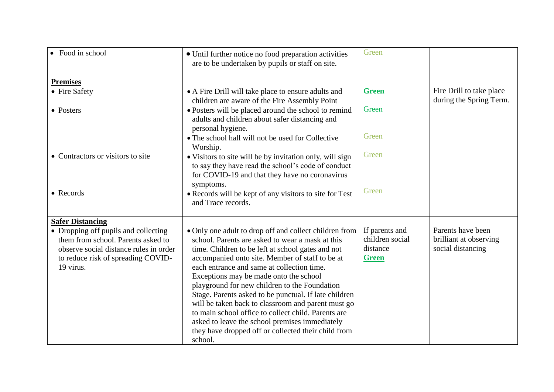| Food in school                         | • Until further notice no food preparation activities<br>are to be undertaken by pupils or staff on site. | Green           |                          |
|----------------------------------------|-----------------------------------------------------------------------------------------------------------|-----------------|--------------------------|
| <b>Premises</b>                        |                                                                                                           |                 |                          |
| • Fire Safety                          | • A Fire Drill will take place to ensure adults and                                                       | <b>Green</b>    | Fire Drill to take place |
|                                        | children are aware of the Fire Assembly Point                                                             |                 | during the Spring Term.  |
| • Posters                              | • Posters will be placed around the school to remind                                                      | Green           |                          |
|                                        | adults and children about safer distancing and<br>personal hygiene.                                       |                 |                          |
|                                        | • The school hall will not be used for Collective<br>Worship.                                             | Green           |                          |
| • Contractors or visitors to site      | • Visitors to site will be by invitation only, will sign                                                  | Green           |                          |
|                                        | to say they have read the school's code of conduct                                                        |                 |                          |
|                                        | for COVID-19 and that they have no coronavirus                                                            |                 |                          |
|                                        | symptoms.                                                                                                 |                 |                          |
| • Records                              | • Records will be kept of any visitors to site for Test<br>and Trace records.                             | Green           |                          |
| <b>Safer Distancing</b>                |                                                                                                           |                 |                          |
| • Dropping off pupils and collecting   | • Only one adult to drop off and collect children from                                                    | If parents and  | Parents have been        |
| them from school. Parents asked to     | school. Parents are asked to wear a mask at this                                                          | children social | brilliant at observing   |
| observe social distance rules in order | time. Children to be left at school gates and not                                                         | distance        | social distancing        |
| to reduce risk of spreading COVID-     | accompanied onto site. Member of staff to be at                                                           | <b>Green</b>    |                          |
| 19 virus.                              | each entrance and same at collection time.                                                                |                 |                          |
|                                        | Exceptions may be made onto the school                                                                    |                 |                          |
|                                        | playground for new children to the Foundation                                                             |                 |                          |
|                                        | Stage. Parents asked to be punctual. If late children                                                     |                 |                          |
|                                        | will be taken back to classroom and parent must go<br>to main school office to collect child. Parents are |                 |                          |
|                                        | asked to leave the school premises immediately                                                            |                 |                          |
|                                        | they have dropped off or collected their child from                                                       |                 |                          |
|                                        | school.                                                                                                   |                 |                          |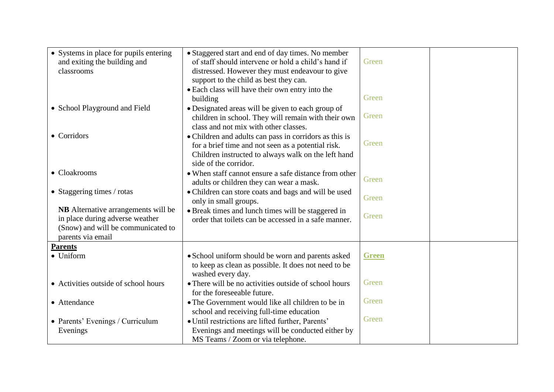| • Systems in place for pupils entering<br>and exiting the building and<br>classrooms                                                     | • Staggered start and end of day times. No member<br>of staff should intervene or hold a child's hand if<br>distressed. However they must endeavour to give<br>support to the child as best they can.<br>• Each class will have their own entry into the | Green        |  |
|------------------------------------------------------------------------------------------------------------------------------------------|----------------------------------------------------------------------------------------------------------------------------------------------------------------------------------------------------------------------------------------------------------|--------------|--|
|                                                                                                                                          | building                                                                                                                                                                                                                                                 | Green        |  |
| • School Playground and Field                                                                                                            | • Designated areas will be given to each group of<br>children in school. They will remain with their own<br>class and not mix with other classes.                                                                                                        | Green        |  |
| • Corridors                                                                                                                              | • Children and adults can pass in corridors as this is<br>for a brief time and not seen as a potential risk.<br>Children instructed to always walk on the left hand                                                                                      | Green        |  |
| • Cloakrooms                                                                                                                             | side of the corridor.<br>• When staff cannot ensure a safe distance from other<br>adults or children they can wear a mask.                                                                                                                               | Green        |  |
| • Staggering times $/$ rotas                                                                                                             | • Children can store coats and bags and will be used<br>only in small groups.                                                                                                                                                                            | Green        |  |
| <b>NB</b> Alternative arrangements will be<br>in place during adverse weather<br>(Snow) and will be communicated to<br>parents via email | · Break times and lunch times will be staggered in<br>order that toilets can be accessed in a safe manner.                                                                                                                                               | Green        |  |
| <b>Parents</b>                                                                                                                           |                                                                                                                                                                                                                                                          |              |  |
| • Uniform                                                                                                                                | • School uniform should be worn and parents asked<br>to keep as clean as possible. It does not need to be<br>washed every day.                                                                                                                           | <b>Green</b> |  |
| • Activities outside of school hours                                                                                                     | • There will be no activities outside of school hours<br>for the foreseeable future.                                                                                                                                                                     | Green        |  |
| • Attendance                                                                                                                             | • The Government would like all children to be in<br>school and receiving full-time education                                                                                                                                                            | Green        |  |
| • Parents' Evenings / Curriculum<br>Evenings                                                                                             | · Until restrictions are lifted further, Parents'<br>Evenings and meetings will be conducted either by                                                                                                                                                   | Green        |  |
|                                                                                                                                          | MS Teams / Zoom or via telephone.                                                                                                                                                                                                                        |              |  |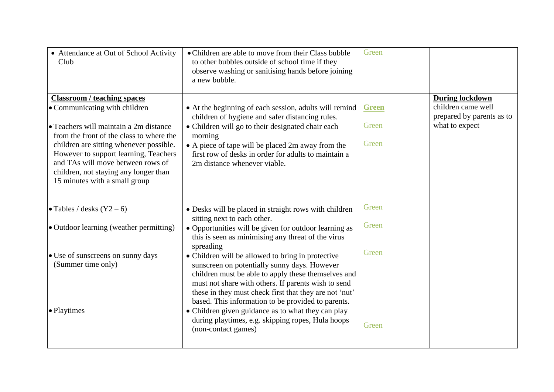| • Attendance at Out of School Activity<br>Club                                                                                                                                                  | • Children are able to move from their Class bubble<br>to other bubbles outside of school time if they<br>observe washing or sanitising hands before joining<br>a new bubble.                                                                                                                                                   | Green        |                                                 |
|-------------------------------------------------------------------------------------------------------------------------------------------------------------------------------------------------|---------------------------------------------------------------------------------------------------------------------------------------------------------------------------------------------------------------------------------------------------------------------------------------------------------------------------------|--------------|-------------------------------------------------|
| <b>Classroom / teaching spaces</b>                                                                                                                                                              |                                                                                                                                                                                                                                                                                                                                 |              | <b>During lockdown</b>                          |
| • Communicating with children                                                                                                                                                                   | • At the beginning of each session, adults will remind<br>children of hygiene and safer distancing rules.                                                                                                                                                                                                                       | <b>Green</b> | children came well<br>prepared by parents as to |
| • Teachers will maintain a 2m distance<br>from the front of the class to where the                                                                                                              | • Children will go to their designated chair each<br>morning                                                                                                                                                                                                                                                                    | Green        | what to expect                                  |
| children are sitting whenever possible.<br>However to support learning, Teachers<br>and TAs will move between rows of<br>children, not staying any longer than<br>15 minutes with a small group | • A piece of tape will be placed 2m away from the<br>first row of desks in order for adults to maintain a<br>2m distance whenever viable.                                                                                                                                                                                       | Green        |                                                 |
| • Tables / desks $(Y2 - 6)$                                                                                                                                                                     | • Desks will be placed in straight rows with children<br>sitting next to each other.                                                                                                                                                                                                                                            | Green        |                                                 |
| • Outdoor learning (weather permitting)                                                                                                                                                         | • Opportunities will be given for outdoor learning as<br>this is seen as minimising any threat of the virus<br>spreading                                                                                                                                                                                                        | Green        |                                                 |
| • Use of sunscreens on sunny days<br>(Summer time only)                                                                                                                                         | • Children will be allowed to bring in protective<br>sunscreen on potentially sunny days. However<br>children must be able to apply these themselves and<br>must not share with others. If parents wish to send<br>these in they must check first that they are not 'nut'<br>based. This information to be provided to parents. | Green        |                                                 |
| • Playtimes                                                                                                                                                                                     | • Children given guidance as to what they can play<br>during playtimes, e.g. skipping ropes, Hula hoops<br>(non-contact games)                                                                                                                                                                                                  | Green        |                                                 |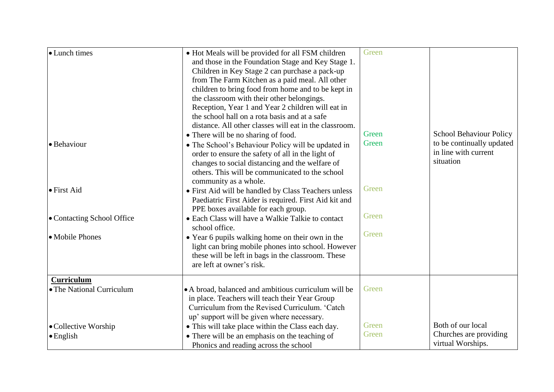| • Lunch times              | • Hot Meals will be provided for all FSM children<br>and those in the Foundation Stage and Key Stage 1.<br>Children in Key Stage 2 can purchase a pack-up<br>from The Farm Kitchen as a paid meal. All other<br>children to bring food from home and to be kept in<br>the classroom with their other belongings.<br>Reception, Year 1 and Year 2 children will eat in<br>the school hall on a rota basis and at a safe<br>distance. All other classes will eat in the classroom. | Green |                                                                |
|----------------------------|----------------------------------------------------------------------------------------------------------------------------------------------------------------------------------------------------------------------------------------------------------------------------------------------------------------------------------------------------------------------------------------------------------------------------------------------------------------------------------|-------|----------------------------------------------------------------|
|                            | • There will be no sharing of food.                                                                                                                                                                                                                                                                                                                                                                                                                                              | Green | School Behaviour Policy                                        |
| <b>Behaviour</b>           | • The School's Behaviour Policy will be updated in<br>order to ensure the safety of all in the light of<br>changes to social distancing and the welfare of<br>others. This will be communicated to the school<br>community as a whole.                                                                                                                                                                                                                                           | Green | to be continually updated<br>in line with current<br>situation |
| <b>•</b> First Aid         | • First Aid will be handled by Class Teachers unless<br>Paediatric First Aider is required. First Aid kit and<br>PPE boxes available for each group.                                                                                                                                                                                                                                                                                                                             | Green |                                                                |
| • Contacting School Office | • Each Class will have a Walkie Talkie to contact<br>school office.                                                                                                                                                                                                                                                                                                                                                                                                              | Green |                                                                |
| • Mobile Phones            | • Year 6 pupils walking home on their own in the<br>light can bring mobile phones into school. However<br>these will be left in bags in the classroom. These<br>are left at owner's risk.                                                                                                                                                                                                                                                                                        | Green |                                                                |
| <b>Curriculum</b>          |                                                                                                                                                                                                                                                                                                                                                                                                                                                                                  |       |                                                                |
| • The National Curriculum  | • A broad, balanced and ambitious curriculum will be<br>in place. Teachers will teach their Year Group<br>Curriculum from the Revised Curriculum. 'Catch<br>up' support will be given where necessary.                                                                                                                                                                                                                                                                           | Green |                                                                |
| • Collective Worship       | • This will take place within the Class each day.                                                                                                                                                                                                                                                                                                                                                                                                                                | Green | Both of our local                                              |
| $\bullet$ English          | • There will be an emphasis on the teaching of<br>Phonics and reading across the school                                                                                                                                                                                                                                                                                                                                                                                          | Green | Churches are providing<br>virtual Worships.                    |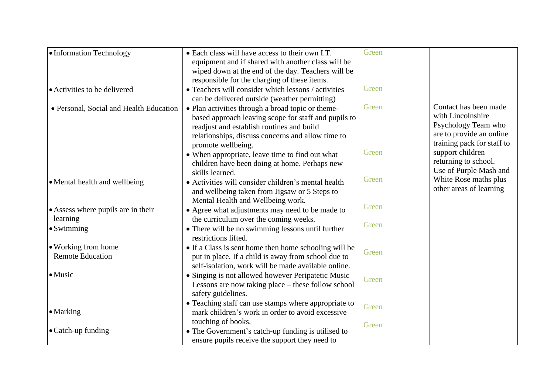| • Information Technology                | • Each class will have access to their own I.T.       | Green |                            |
|-----------------------------------------|-------------------------------------------------------|-------|----------------------------|
|                                         | equipment and if shared with another class will be    |       |                            |
|                                         | wiped down at the end of the day. Teachers will be    |       |                            |
|                                         | responsible for the charging of these items.          |       |                            |
| • Activities to be delivered            | • Teachers will consider which lessons / activities   | Green |                            |
|                                         | can be delivered outside (weather permitting)         |       |                            |
| • Personal, Social and Health Education | • Plan activities through a broad topic or theme-     | Green | Contact has been made      |
|                                         | based approach leaving scope for staff and pupils to  |       | with Lincolnshire          |
|                                         | readjust and establish routines and build             |       | Psychology Team who        |
|                                         | relationships, discuss concerns and allow time to     |       | are to provide an online   |
|                                         | promote wellbeing.                                    |       | training pack for staff to |
|                                         | • When appropriate, leave time to find out what       | Green | support children           |
|                                         | children have been doing at home. Perhaps new         |       | returning to school.       |
|                                         | skills learned.                                       |       | Use of Purple Mash and     |
| • Mental health and wellbeing           | • Activities will consider children's mental health   | Green | White Rose maths plus      |
|                                         | and wellbeing taken from Jigsaw or 5 Steps to         |       | other areas of learning    |
|                                         | Mental Health and Wellbeing work.                     |       |                            |
| • Assess where pupils are in their      | • Agree what adjustments may need to be made to       | Green |                            |
| learning                                | the curriculum over the coming weeks.                 |       |                            |
| $\bullet$ Swimming                      | • There will be no swimming lessons until further     | Green |                            |
|                                         | restrictions lifted.                                  |       |                            |
| • Working from home                     | • If a Class is sent home then home schooling will be | Green |                            |
| <b>Remote Education</b>                 | put in place. If a child is away from school due to   |       |                            |
|                                         | self-isolation, work will be made available online.   |       |                            |
| $\bullet$ Music                         | • Singing is not allowed however Peripatetic Music    | Green |                            |
|                                         | Lessons are now taking place – these follow school    |       |                            |
|                                         | safety guidelines.                                    |       |                            |
|                                         | • Teaching staff can use stamps where appropriate to  | Green |                            |
| $\bullet$ Marking                       | mark children's work in order to avoid excessive      |       |                            |
|                                         | touching of books.                                    | Green |                            |
| $\bullet$ Catch-up funding              | • The Government's catch-up funding is utilised to    |       |                            |
|                                         | ensure pupils receive the support they need to        |       |                            |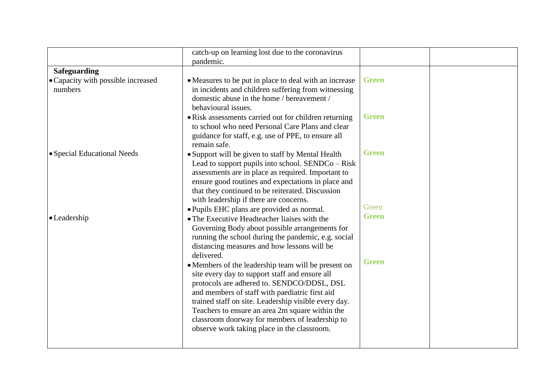|                                    | catch-up on learning lost due to the coronavirus<br>pandemic.                                |              |  |
|------------------------------------|----------------------------------------------------------------------------------------------|--------------|--|
| <b>Safeguarding</b>                |                                                                                              |              |  |
| • Capacity with possible increased | • Measures to be put in place to deal with an increase                                       | <b>Green</b> |  |
| numbers                            | in incidents and children suffering from witnessing                                          |              |  |
|                                    | domestic abuse in the home / bereavement /                                                   |              |  |
|                                    | behavioural issues.                                                                          |              |  |
|                                    | • Risk assessments carried out for children returning                                        | <b>Green</b> |  |
|                                    | to school who need Personal Care Plans and clear                                             |              |  |
|                                    | guidance for staff, e.g. use of PPE, to ensure all                                           |              |  |
|                                    | remain safe.                                                                                 |              |  |
| • Special Educational Needs        | • Support will be given to staff by Mental Health                                            | <b>Green</b> |  |
|                                    | Lead to support pupils into school. $SENDCo - Risk$                                          |              |  |
|                                    | assessments are in place as required. Important to                                           |              |  |
|                                    | ensure good routines and expectations in place and                                           |              |  |
|                                    | that they continued to be reiterated. Discussion                                             |              |  |
|                                    | with leadership if there are concerns.                                                       | Green        |  |
|                                    | • Pupils EHC plans are provided as normal.                                                   | <b>Green</b> |  |
| $\bullet$ Leadership               | • The Executive Headteacher liaises with the                                                 |              |  |
|                                    | Governing Body about possible arrangements for                                               |              |  |
|                                    | running the school during the pandemic, e.g. social                                          |              |  |
|                                    | distancing measures and how lessons will be                                                  |              |  |
|                                    | delivered.                                                                                   | <b>Green</b> |  |
|                                    | • Members of the leadership team will be present on                                          |              |  |
|                                    | site every day to support staff and ensure all<br>protocols are adhered to. SENDCO/DDSL, DSL |              |  |
|                                    | and members of staff with paediatric first aid                                               |              |  |
|                                    | trained staff on site. Leadership visible every day.                                         |              |  |
|                                    | Teachers to ensure an area 2m square within the                                              |              |  |
|                                    | classroom doorway for members of leadership to                                               |              |  |
|                                    | observe work taking place in the classroom.                                                  |              |  |
|                                    |                                                                                              |              |  |
|                                    |                                                                                              |              |  |